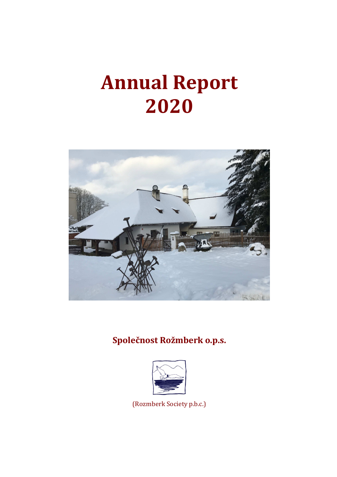# **Annual Report 2020**



# **Společnost Rožmberk o.p.s.**



(Rozmberk Society p.b.c.)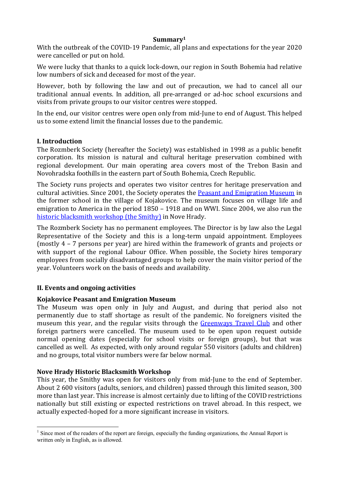#### **Summary<sup>1</sup>**

With the outbreak of the COVID-19 Pandemic, all plans and expectations for the year 2020 were cancelled or put on hold.

We were lucky that thanks to a quick lock-down, our region in South Bohemia had relative low numbers of sick and deceased for most of the year.

However, both by following the law and out of precaution, we had to cancel all our traditional annual events. In addition, all pre-arranged or ad-hoc school excursions and visits from private groups to our visitor centres were stopped.

In the end, our visitor centres were open only from mid-June to end of August. This helped us to some extend limit the financial losses due to the pandemic.

#### **I. Introduction**

The Rozmberk Society (hereafter the Society) was established in 1998 as a public benefit corporation. Its mission is natural and cultural heritage preservation combined with regional development. Our main operating area covers most of the Trebon Basin and Novohradska foothills in the eastern part of South Bohemia, Czech Republic.

The Society runs projects and operates two visitor centres for heritage preservation and cultural activities. Since 2001, the Society operates the Peasant and Emigration Museum in the former school in the village of Kojakovice. The museum focuses on village life and emigration to America in the period 1850 – 1918 and on WWI. Since 2004, we also run the historic blacksmith workshop (the Smithy) in Nove Hrady.

The Rozmberk Society has no permanent employees. The Director is by law also the Legal Representative of the Society and this is a long-term unpaid appointment. Employees (mostly 4 – 7 persons per year) are hired within the framework of grants and projects or with support of the regional Labour Office. When possible, the Society hires temporary employees from socially disadvantaged groups to help cover the main visitor period of the year. Volunteers work on the basis of needs and availability.

# **II. Events and ongoing activities**

# **Kojakovice Peasant and Emigration Museum**

The Museum was open only in July and August, and during that period also not permanently due to staff shortage as result of the pandemic. No foreigners visited the museum this year, and the regular visits through the Greenways Travel Club and other foreign partners were cancelled. The museum used to be open upon request outside normal opening dates (especially for school visits or foreign groups), but that was cancelled as well. As expected, with only around regular 550 visitors (adults and children) and no groups, total visitor numbers were far below normal.

#### **Nove Hrady Historic Blacksmith Workshop**

This year, the Smithy was open for visitors only from mid-June to the end of September. About 2 600 visitors (adults, seniors, and children) passed through this limited season, 300 more than last year. This increase is almost certainly due to lifting of the COVID restrictions nationally but still existing or expected restrictions on travel abroad. In this respect, we actually expected-hoped for a more significant increase in visitors.

<sup>&</sup>lt;sup>1</sup> Since most of the readers of the report are foreign, especially the funding organizations, the Annual Report is written only in English, as is allowed.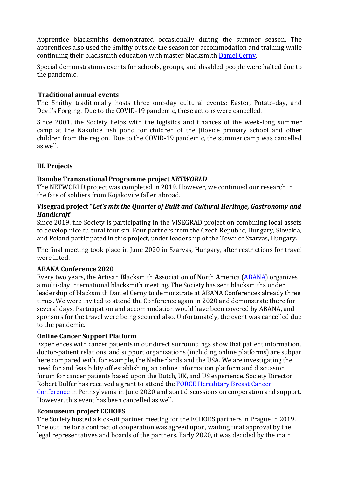Apprentice blacksmiths demonstrated occasionally during the summer season. The apprentices also used the Smithy outside the season for accommodation and training while continuing their blacksmith education with master blacksmith Daniel Cerny.

Special demonstrations events for schools, groups, and disabled people were halted due to the pandemic.

# **Traditional annual events**

The Smithy traditionally hosts three one-day cultural events: Easter, Potato-day, and Devil's Forging. Due to the COVID-19 pandemic, these actions were cancelled.

Since 2001, the Society helps with the logistics and finances of the week-long summer camp at the Nakolice fish pond for children of the Jílovice primary school and other children from the region. Due to the COVID-19 pandemic, the summer camp was cancelled as well.

# **III. Projects**

# **Danube Transnational Programme project** *NETWORLD*

The NETWORLD project was completed in 2019. However, we continued our research in the fate of soldiers from Kojakovice fallen abroad.

# **Visegrad project "***Let's mix the Quartet of Built and Cultural Heritage, Gastronomy and Handicraft***"**

Since 2019, the Society is participating in the VISEGRAD project on combining local assets to develop nice cultural tourism. Four partners from the Czech Republic, Hungary, Slovakia, and Poland participated in this project, under leadership of the Town of Szarvas, Hungary.

The final meeting took place in June 2020 in Szarvas, Hungary, after restrictions for travel were lifted.

# **ABANA Conference 2020**

Every two years, the **A**rtisan **B**lacksmith **A**ssociation of **N**orth **A**merica (ABANA) organizes a multi-day international blacksmith meeting. The Society has sent blacksmiths under leadership of blacksmith Daniel Cerny to demonstrate at ABANA Conferences already three times. We were invited to attend the Conference again in 2020 and demonstrate there for several days. Participation and accommodation would have been covered by ABANA, and sponsors for the travel were being secured also. Unfortunately, the event was cancelled due to the pandemic.

# **Online Cancer Support Platform**

Experiences with cancer patients in our direct surroundings show that patient information, doctor-patient relations, and support organizations (including online platforms) are subpar here compared with, for example, the Netherlands and the USA. We are investigating the need for and feasibility off establishing an online information platform and discussion forum for cancer patients based upon the Dutch, UK, and US experience. Society Director Robert Dulfer has received a grant to attend the FORCE Hereditary Breast Cancer Conference in Pennsylvania in June 2020 and start discussions on cooperation and support. However, this event has been cancelled as well.

#### **Ecomuseum project ECHOES**

The Society hosted a kick-off partner meeting for the ECHOES partners in Prague in 2019. The outline for a contract of cooperation was agreed upon, waiting final approval by the legal representatives and boards of the partners. Early 2020, it was decided by the main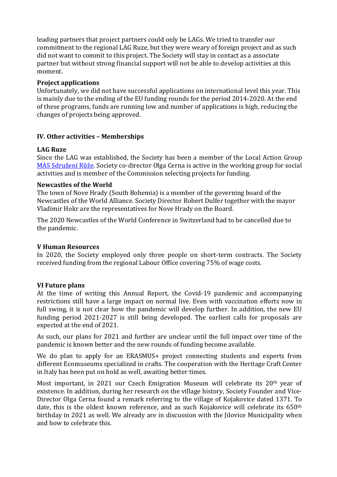leading partners that project partners could only be LAGs. We tried to transfer our commitment to the regional LAG Ruze, but they were weary of foreign project and as such did not want to commit to this project. The Society will stay in contact as a associate partner but without strong financial support will not be able to develop activities at this moment.

# **Project applications**

Unfortunately, we did not have successful applications on international level this year. This is mainly due to the ending of the EU funding rounds for the period 2014-2020. At the end of these programs, funds are running low and number of applications is high, reducing the changes of projects being approved.

# **IV. Other activities – Memberships**

#### **LAG Ruze**

Since the LAG was established, the Society has been a member of the Local Action Group MAS Sdružení Růže. Society co-director Olga Cerna is active in the working group for social activities and is member of the Commission selecting projects for funding.

#### **Newcastles of the World**

The town of Nove Hrady (South Bohemia) is a member of the governing board of the Newcastles of the World Alliance. Society Director Robert Dulfer together with the mayor Vladimir Hokr are the representatives for Nove Hrady on the Board.

The 2020 Newcastles of the World Conference in Switzerland had to be cancelled due to the pandemic.

# **V Human Resources**

In 2020, the Society employed only three people on short-term contracts. The Society received funding from the regional Labour Office covering 75% of wage costs.

# **VI Future plans**

At the time of writing this Annual Report, the Covid-19 pandemic and accompanying restrictions still have a large impact on normal live. Even with vaccination efforts now in full swing, it is not clear how the pandemic will develop further. In addition, the new EU funding period 2021-2027 is still being developed. The earliest calls for proposals are expected at the end of 2021.

As such, our plans for 2021 and further are unclear until the full impact over time of the pandemic is known better and the new rounds of funding become available.

We do plan to apply for an ERASMUS+ project connecting students and experts from different Ecomuseums specialized in crafts. The cooperation with the Heritage Craft Center in Italy has been put on hold as well, awaiting better times.

Most important, in 2021 our Czech Emigration Museum will celebrate its 20<sup>th</sup> year of existence. In addition, during her research on the village history, Society Founder and Vice-Director Olga Cerna found a remark referring to the village of Kojakovice dated 1371. To date, this is the oldest known reference, and as such Kojakovice will celebrate its 650<sup>th</sup> birthday in 2021 as well. We already are in discussion with the Jilovice Municipality when and how to celebrate this.